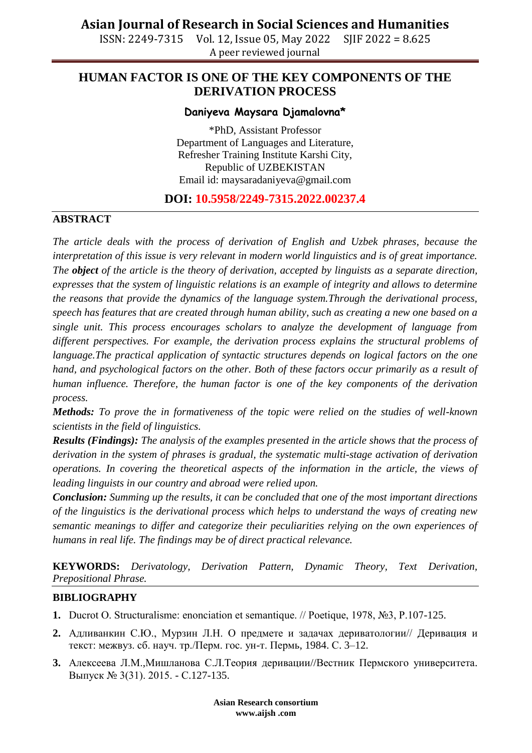ISSN: 2249-7315 Vol. 12, Issue 05, May 2022 SJIF 2022 = 8.625 A peer reviewed journal

## **HUMAN FACTOR IS ONE OF THE KEY COMPONENTS OF THE DERIVATION PROCESS**

#### **Daniyeva Maysara Djamalovna\***

\*PhD, Assistant Professor Department of Languages and Literature, Refresher Training Institute Karshi City, Republic of UZBEKISTAN Email id: [maysaradaniyeva@gmail.com](mailto:maysaradaniyeva@gmail.com)

### **DOI: 10.5958/2249-7315.2022.00237.4**

#### **ABSTRACT**

*The article deals with the process of derivation of English and Uzbek phrases, because the interpretation of this issue is very relevant in modern world linguistics and is of great importance. The object of the article is the theory of derivation, accepted by linguists as a separate direction, expresses that the system of linguistic relations is an example of integrity and allows to determine the reasons that provide the dynamics of the language system.Through the derivational process, speech has features that are created through human ability, such as creating a new one based on a single unit. This process encourages scholars to analyze the development of language from different perspectives. For example, the derivation process explains the structural problems of language.The practical application of syntactic structures depends on logical factors on the one hand, and psychological factors on the other. Both of these factors occur primarily as a result of human influence. Therefore, the human factor is one of the key components of the derivation process.*

*Methods: To prove the in formativeness of the topic were relied on the studies of well-known scientists in the field of linguistics.*

*Results (Findings): The analysis of the examples presented in the article shows that the process of derivation in the system of phrases is gradual, the systematic multi-stage activation of derivation operations. In covering the theoretical aspects of the information in the article, the views of leading linguists in our country and abroad were relied upon.*

*Conclusion: Summing up the results, it can be concluded that one of the most important directions of the linguistics is the derivational process which helps to understand the ways of creating new semantic meanings to differ and categorize their peculiarities relying on the own experiences of humans in real life. The findings may be of direct practical relevance.*

**KEYWORDS:** *Derivatology, Derivation Pattern, Dynamic Theory, Text Derivation, Prepositional Phrase.*

#### **BIBLIOGRAPHY**

- **1.** Ducrot O. Structuralisme: enonciation et semantique. // Poetique, 1978, №3, P.107-125.
- **2.** Адливанкин С.Ю., Мурзин Л.Н. О предмете и задачах дериватологии// Деривация и текст: межвуз. сб. науч. тр./Перм. гос. ун-т. Пермь, 1984. С. 3–12.
- **3.** Алексеева Л.М.,Мишланова С.Л.Теория деривации//Вестник Пермского университета. Выпуск № 3(31). 2015. - С.127-135.